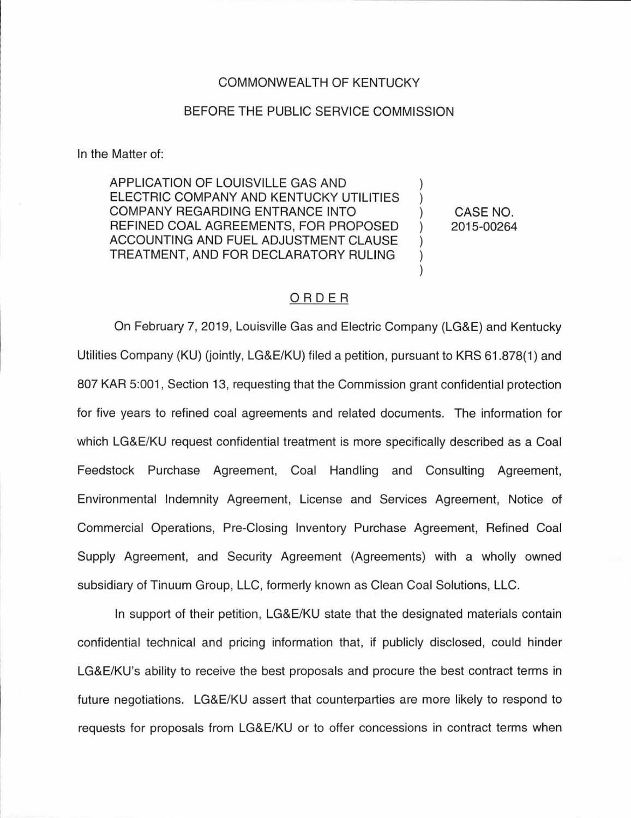## COMMONWEALTH OF KENTUCKY

## BEFORE THE PUBLIC SERVICE COMMISSION

In the Matter of:

APPLICATION OF LOUISVILLE GAS AND ELECTRIC COMPANY AND KENTUCKY UTILITIES COMPANY REGARDING ENTRANCE INTO REFINED COAL AGREEMENTS, FOR PROPOSED ACCOUNTING AND FUEL ADJUSTMENT CLAUSE TREATMENT, AND FOR DECLARATORY RULING

CASE NO. 2015-00264

## ORDER

On February 7, 2019, Louisville Gas and Electric Company (LG&E) and Kentucky Utilities Company (KU) (jointly, LG&E/KU) filed a petition, pursuant to KRS 61 .878(1) and 807 KAR 5:001 , Section 13, requesting that the Commission grant confidential protection for five years to refined coal agreements and related documents. The information for which LG&E/KU request confidential treatment is more specifically described as a Coal Feedstock Purchase Agreement, Coal Handling and Consulting Agreement, Environmental Indemnity Agreement, License and Services Agreement, Notice of Commercial Operations, Pre-Closing Inventory Purchase Agreement, Refined Coal Supply Agreement, and Security Agreement (Agreements) with a wholly owned subsidiary of Tinuum Group, LLC, formerly known as Clean Coal Solutions, LLC.

In support of their petition, LG&E/KU state that the designated materials contain confidential technical and pricing information that, if publicly disclosed, could hinder LG&E/KU's ability to receive the best proposals and procure the best contract terms in future negotiations. LG&E/KU assert that counterparties are more likely to respond to requests for proposals from LG&E/KU or to offer concessions in contract terms when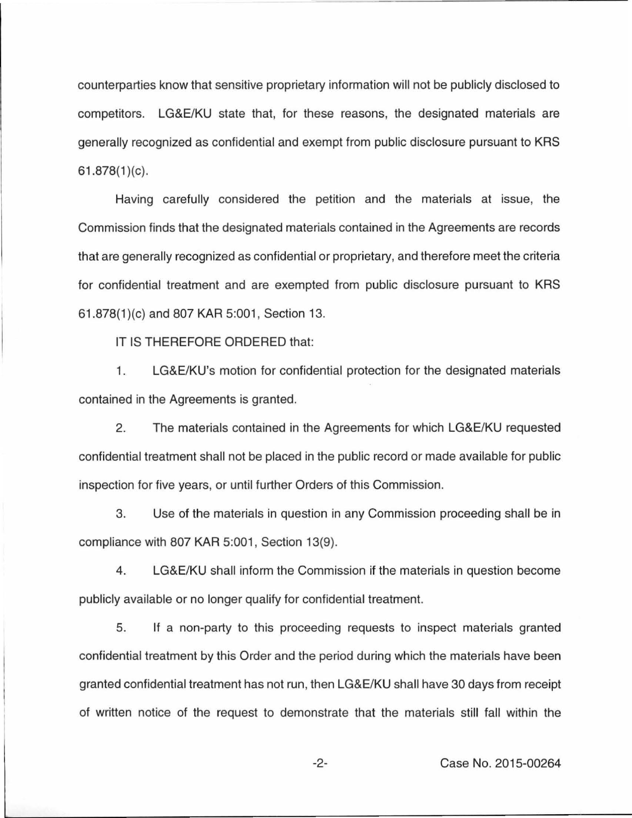counterparties know that sensitive proprietary information will not be publicly disclosed to competitors. LG&E/KU state that, for these reasons, the designated materials are generally recognized as confidential and exempt from public disclosure pursuant to KRS  $61.878(1)(c)$ .

Having carefully considered the petition and the materials at issue, the Commission finds that the designated materials contained in the Agreements are records that are generally recognized as confidential or proprietary, and therefore meet the criteria for confidential treatment and are exempted from public disclosure pursuant to KRS 61.878(1 )(c) and 807 KAR 5:001 , Section 13.

IT IS THEREFORE ORDERED that:

1. LG&E/KU's motion for confidential protection for the designated materials contained in the Agreements is granted.

2. The materials contained in the Agreements for which LG&E/KU requested confidential treatment shall not be placed in the public record or made available for public inspection for five years, or until further Orders of this Commission.

3. Use of the materials in question in any Commission proceeding shall be in compliance with 807 KAR 5:001, Section 13(9).

4. LG&E/KU shall inform the Commission if the materials in question become publicly available or no longer qualify for confidential treatment.

5. If a non-party to this proceeding requests to inspect materials granted confidential treatment by this Order and the period during which the materials have been granted confidential treatment has not run, then LG&E/KU shall have 30 days from receipt of written notice of the request to demonstrate that the materials still fall within the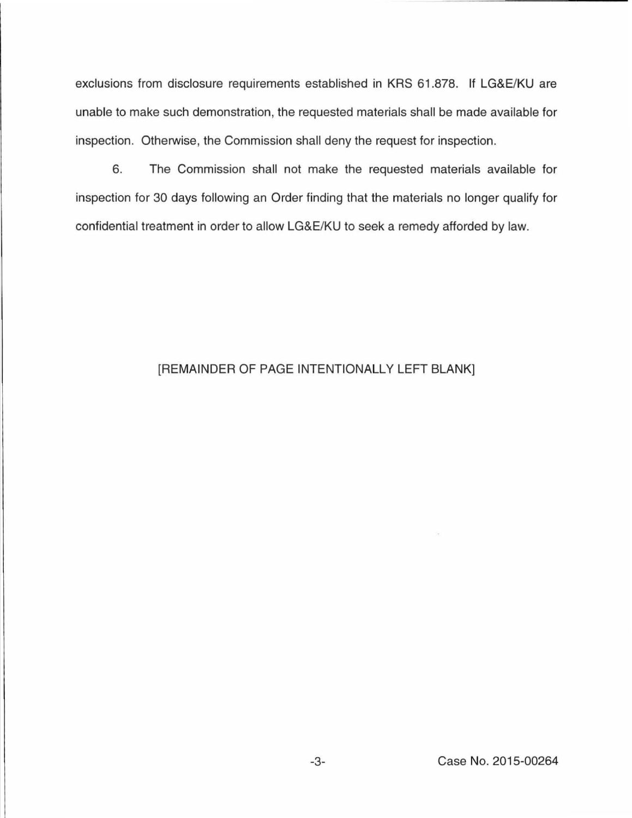exclusions from disclosure requirements established in KRS 61 .878. If LG&E/KU are unable to make such demonstration, the requested materials shall be made available for inspection. Otherwise, the Commission shall deny the request for inspection.

6. The Commission shall not make the requested materials available for inspection for 30 days following an Order finding that the materials no longer qualify for confidential treatment in order to allow LG&E/KU to seek a remedy afforded by law.

## [REMAINDER OF PAGE INTENTIONALLY LEFT BLANK]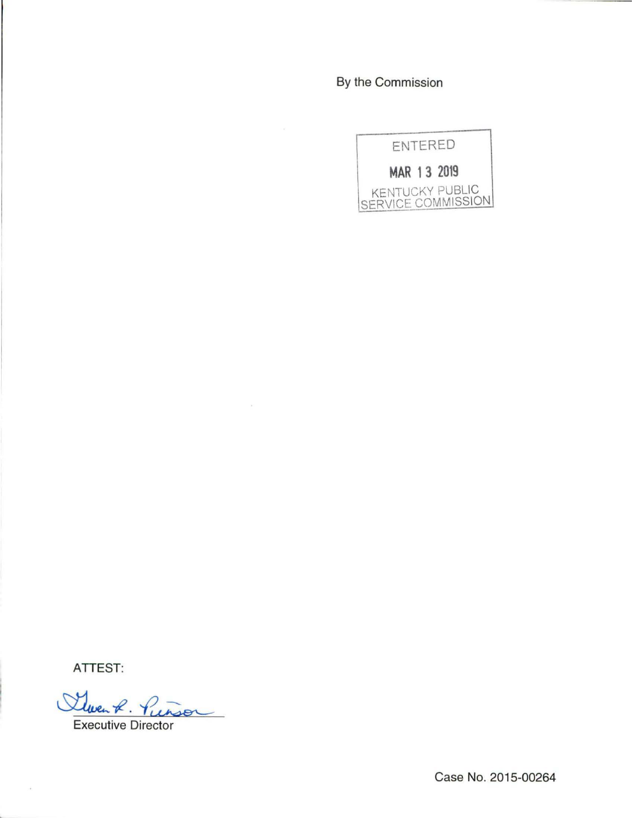By the Commission



ATTEST:

 $\sim$ 

Steven R. Pierson

 $\lambda$ 

Executive Director